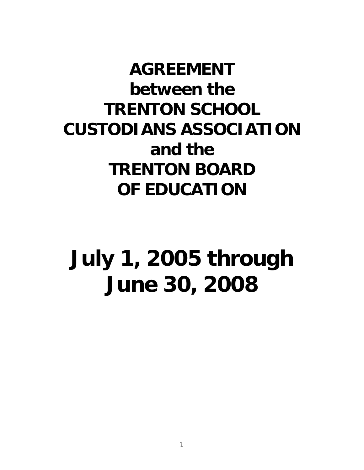**AGREEMENT between the TRENTON SCHOOL CUSTODIANS ASSOCIATION and the TRENTON BOARD OF EDUCATION** 

# **July 1, 2005 through June 30, 2008**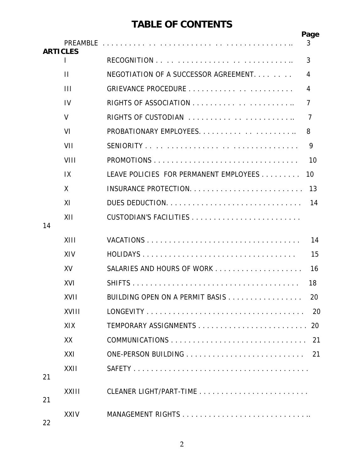# **TABLE OF CONTENTS**

|                 |              |                                        | Page |
|-----------------|--------------|----------------------------------------|------|
| <b>ARTICLES</b> |              |                                        | 3    |
|                 | L            |                                        | 3    |
|                 | П            | NEGOTIATION OF A SUCCESSOR AGREEMENT.  | 4    |
|                 | Ш            |                                        | 4    |
|                 | IV           |                                        | 7    |
|                 | V            | RIGHTS OF CUSTODIAN                    | 7    |
|                 | VI           |                                        | 8    |
|                 | VII          |                                        | 9    |
|                 | VIII         |                                        | 10   |
|                 | IX           | LEAVE POLICIES FOR PERMANENT EMPLOYEES | 10   |
|                 | X            |                                        | 13   |
|                 | XI           |                                        | 14   |
|                 | XII          |                                        |      |
| 14              |              |                                        |      |
|                 | XIII         |                                        | 14   |
|                 | XIV          |                                        | 15   |
|                 | XV           |                                        | 16   |
|                 | XVI          |                                        | 18   |
|                 | XVII         | BUILDING OPEN ON A PERMIT BASIS        | 20   |
|                 | XVIII        |                                        | 20   |
|                 | XIX          |                                        | 20   |
|                 | XX           |                                        | -21  |
|                 | XXI          |                                        | 21   |
|                 | XXII         |                                        |      |
| 21              |              |                                        |      |
| 21              | <b>XXIII</b> |                                        |      |
| 22              | <b>XXIV</b>  |                                        |      |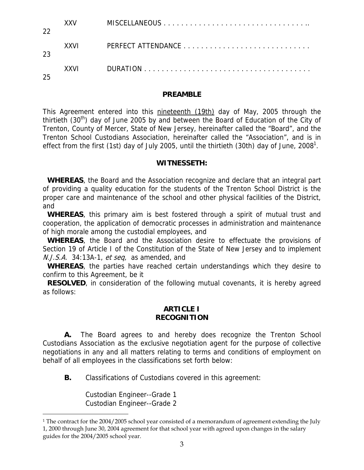| 22 | XXV  |  |
|----|------|--|
| 23 | XXVI |  |
| 25 | XXVI |  |

#### **PREAMBLE**

This Agreement entered into this nineteenth (19th) day of May, 2005 through the thirtieth  $(30<sup>th</sup>)$  day of June 2005 by and between the Board of Education of the City of Trenton, County of Mercer, State of New Jersey, hereinafter called the "Board", and the Trenton School Custodians Association, hereinafter called the "Association", and is in effect from the first (1st) day of July 2005, until the thirtieth (30th) day of June, 2008<sup>1</sup>.

#### **WITNESSETH:**

 **WHEREAS**, the Board and the Association recognize and declare that an integral part of providing a quality education for the students of the Trenton School District is the proper care and maintenance of the school and other physical facilities of the District, and

 **WHEREAS**, this primary aim is best fostered through a spirit of mutual trust and cooperation, the application of democratic processes in administration and maintenance of high morale among the custodial employees, and

 **WHEREAS**, the Board and the Association desire to effectuate the provisions of Section 19 of Article I of the Constitution of the State of New Jersey and to implement  $N.J.S.A.$  34:13A-1, et seq, as amended, and

 **WHEREAS**, the parties have reached certain understandings which they desire to confirm to this Agreement, be it

**RESOLVED**, in consideration of the following mutual covenants, it is hereby agreed as follows:

#### **ARTICLE I RECOGNITION**

 **A.** The Board agrees to and hereby does recognize the Trenton School Custodians Association as the exclusive negotiation agent for the purpose of collective negotiations in any and all matters relating to terms and conditions of employment on behalf of all employees in the classifications set forth below:

**B.** Classifications of Custodians covered in this agreement:

 Custodian Engineer--Grade 1 Custodian Engineer--Grade 2

 $\overline{a}$ 

<sup>&</sup>lt;sup>1</sup> The contract for the 2004/2005 school year consisted of a memorandum of agreement extending the July 1, 2000 through June 30, 2004 agreement for that school year with agreed upon changes in the salary guides for the 2004/2005 school year.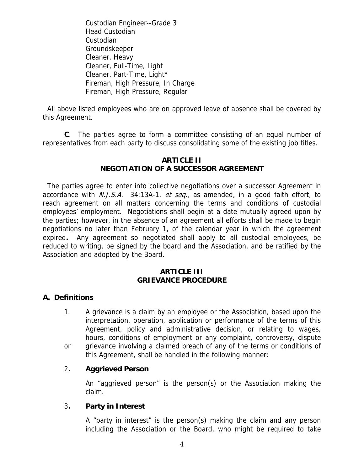Custodian Engineer--Grade 3 Head Custodian Custodian Groundskeeper Cleaner, Heavy Cleaner, Full-Time, Light Cleaner, Part-Time, Light\* Fireman, High Pressure, In Charge Fireman, High Pressure, Regular

 All above listed employees who are on approved leave of absence shall be covered by this Agreement.

 **C**. The parties agree to form a committee consisting of an equal number of representatives from each party to discuss consolidating some of the existing job titles.

#### **ARTICLE II NEGOTIATION OF A SUCCESSOR AGREEMENT**

 The parties agree to enter into collective negotiations over a successor Agreement in accordance with *N.J.S.A.* 34:13A-1, et seq., as amended, in a good faith effort, to reach agreement on all matters concerning the terms and conditions of custodial employees' employment. Negotiations shall begin at a date mutually agreed upon by the parties; however, in the absence of an agreement all efforts shall be made to begin negotiations no later than February 1, of the calendar year in which the agreement expired**.** Any agreement so negotiated shall apply to all custodial employees, be reduced to writing, be signed by the board and the Association, and be ratified by the Association and adopted by the Board.

## **ARTICLE III GRIEVANCE PROCEDURE**

# **A. Definitions**

- 1. A grievance is a claim by an employee or the Association, based upon the interpretation, operation, application or performance of the terms of this Agreement, policy and administrative decision, or relating to wages, hours, conditions of employment or any complaint, controversy, dispute
- or grievance involving a claimed breach of any of the terms or conditions of this Agreement, shall be handled in the following manner:

# 2**. Aggrieved Person**

 An "aggrieved person" is the person(s) or the Association making the claim.

#### 3**. Party in Interest**

 A "party in interest" is the person(s) making the claim and any person including the Association or the Board, who might be required to take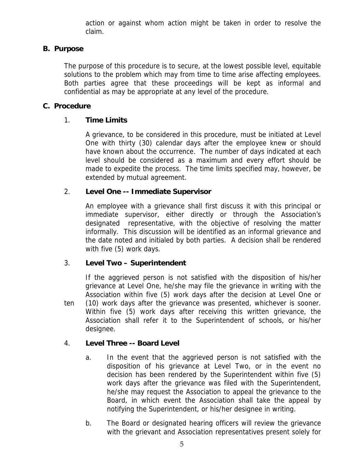action or against whom action might be taken in order to resolve the claim.

# **B. Purpose**

The purpose of this procedure is to secure, at the lowest possible level, equitable solutions to the problem which may from time to time arise affecting employees. Both parties agree that these proceedings will be kept as informal and confidential as may be appropriate at any level of the procedure.

# **C. Procedure**

# 1. **Time Limits**

 A grievance, to be considered in this procedure, must be initiated at Level One with thirty (30) calendar days after the employee knew or should have known about the occurrence. The number of days indicated at each level should be considered as a maximum and every effort should be made to expedite the process. The time limits specified may, however, be extended by mutual agreement.

# 2. **Level One -- Immediate Supervisor**

An employee with a grievance shall first discuss it with this principal or immediate supervisor, either directly or through the Association's designated representative, with the objective of resolving the matter informally. This discussion will be identified as an informal grievance and the date noted and initialed by both parties. A decision shall be rendered with five (5) work days.

# 3. **Level Two – Superintendent**

If the aggrieved person is not satisfied with the disposition of his/her grievance at Level One, he/she may file the grievance in writing with the Association within five (5) work days after the decision at Level One or ten (10) work days after the grievance was presented, whichever is sooner. Within five (5) work days after receiving this written grievance, the Association shall refer it to the Superintendent of schools, or his/her designee.

# 4. **Level Three -- Board Level**

- a. In the event that the aggrieved person is not satisfied with the disposition of his grievance at Level Two, or in the event no decision has been rendered by the Superintendent within five (5) work days after the grievance was filed with the Superintendent, he/she may request the Association to appeal the grievance to the Board, in which event the Association shall take the appeal by notifying the Superintendent, or his/her designee in writing.
- b. The Board or designated hearing officers will review the grievance with the grievant and Association representatives present solely for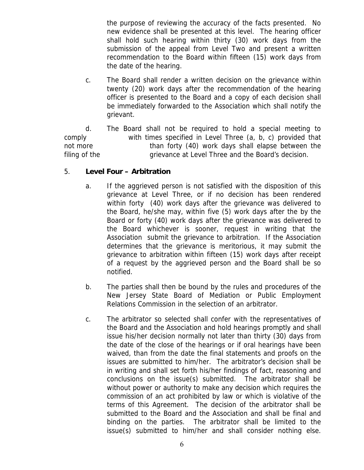the purpose of reviewing the accuracy of the facts presented. No new evidence shall be presented at this level. The hearing officer shall hold such hearing within thirty (30) work days from the submission of the appeal from Level Two and present a written recommendation to the Board within fifteen (15) work days from the date of the hearing.

 c. The Board shall render a written decision on the grievance within twenty (20) work days after the recommendation of the hearing officer is presented to the Board and a copy of each decision shall be immediately forwarded to the Association which shall notify the grievant.

 d. The Board shall not be required to hold a special meeting to comply with times specified in Level Three (a, b, c) provided that not more **than forty (40)** work days shall elapse between the filing of the grievance at Level Three and the Board's decision.

# 5. **Level Four – Arbitration**

- a. If the aggrieved person is not satisfied with the disposition of this grievance at Level Three, or if no decision has been rendered within forty (40) work days after the grievance was delivered to the Board, he/she may, within five (5) work days after the by the Board or forty (40) work days after the grievance was delivered to the Board whichever is sooner, request in writing that the Association submit the grievance to arbitration. If the Association determines that the grievance is meritorious, it may submit the grievance to arbitration within fifteen (15) work days after receipt of a request by the aggrieved person and the Board shall be so notified.
- b. The parties shall then be bound by the rules and procedures of the New Jersey State Board of Mediation or Public Employment Relations Commission in the selection of an arbitrator.
- c. The arbitrator so selected shall confer with the representatives of the Board and the Association and hold hearings promptly and shall issue his/her decision normally not later than thirty (30) days from the date of the close of the hearings or if oral hearings have been waived, than from the date the final statements and proofs on the issues are submitted to him/her. The arbitrator's decision shall be in writing and shall set forth his/her findings of fact, reasoning and conclusions on the issue(s) submitted. The arbitrator shall be without power or authority to make any decision which requires the commission of an act prohibited by law or which is violative of the terms of this Agreement. The decision of the arbitrator shall be submitted to the Board and the Association and shall be final and binding on the parties. The arbitrator shall be limited to the issue(s) submitted to him/her and shall consider nothing else.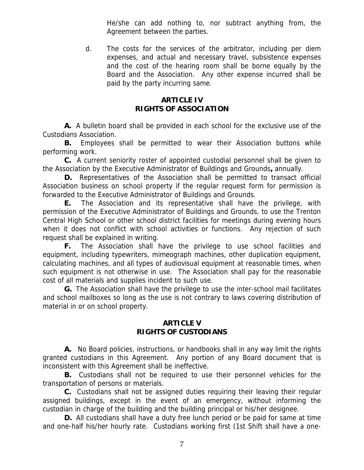He/she can add nothing to, nor subtract anything from, the Agreement between the parties.

 d. The costs for the services of the arbitrator, including per diem expenses, and actual and necessary travel, subsistence expenses and the cost of the hearing room shall be borne equally by the Board and the Association. Any other expense incurred shall be paid by the party incurring same.

# **ARTICLE IV RIGHTS OF ASSOCIATION**

 **A.** A bulletin board shall be provided in each school for the exclusive use of the Custodians Association.

**B.** Employees shall be permitted to wear their Association buttons while performing work.

 **C.** A current seniority roster of appointed custodial personnel shall be given to the Association by the Executive Administrator of Buildings and Grounds**,** annually.

 **D.** Representatives of the Association shall be permitted to transact official Association business on school property if the regular request form for permission is forwarded to the Executive Administrator of Buildings and Grounds.

 **E.** The Association and its representative shall have the privilege, with permission of the Executive Administrator of Buildings and Grounds, to use the Trenton Central High School or other school district facilities for meetings during evening hours when it does not conflict with school activities or functions. Any rejection of such request shall be explained in writing.

**F.** The Association shall have the privilege to use school facilities and equipment, including typewriters, mimeograph machines, other duplication equipment, calculating machines, and all types of audiovisual equipment at reasonable times, when such equipment is not otherwise in use. The Association shall pay for the reasonable cost of all materials and supplies incident to such use.

 **G.** The Association shall have the privilege to use the inter-school mail facilitates and school mailboxes so long as the use is not contrary to laws covering distribution of material in or on school property.

#### **ARTICLE V RIGHTS OF CUSTODIANS**

 **A.** No Board policies, instructions, or handbooks shall in any way limit the rights granted custodians in this Agreement. Any portion of any Board document that is inconsistent with this Agreement shall be ineffective.

 **B.** Custodians shall not be required to use their personnel vehicles for the transportation of persons or materials.

 **C.** Custodians shall not be assigned duties requiring their leaving their regular assigned buildings, except in the event of an emergency, without informing the custodian in charge of the building and the building principal or his/her designee.

 **D.** All custodians shall have a duty free lunch period or be paid for same at time and one-half his/her hourly rate. Custodians working first (1st Shift shall have a one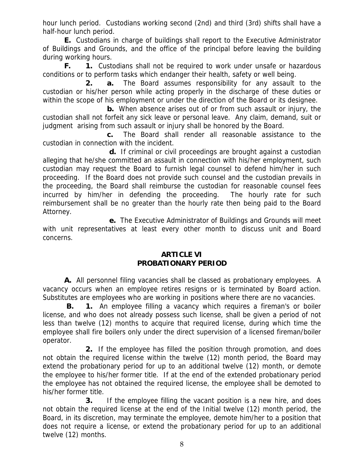hour lunch period. Custodians working second (2nd) and third (3rd) shifts shall have a half-hour lunch period.

 **E.** Custodians in charge of buildings shall report to the Executive Administrator of Buildings and Grounds, and the office of the principal before leaving the building during working hours.

 **F. 1.** Custodians shall not be required to work under unsafe or hazardous conditions or to perform tasks which endanger their health, safety or well being.

 **2. a.** The Board assumes responsibility for any assault to the custodian or his/her person while acting properly in the discharge of these duties or within the scope of his employment or under the direction of the Board or its designee.

 **b.** When absence arises out of or from such assault or injury, the custodian shall not forfeit any sick leave or personal leave. Any claim, demand, suit or judgment arising from such assault or injury shall be honored by the Board.

 **c.** The Board shall render all reasonable assistance to the custodian in connection with the incident.

 **d.** If criminal or civil proceedings are brought against a custodian alleging that he/she committed an assault in connection with his/her employment, such custodian may request the Board to furnish legal counsel to defend him/her in such proceeding. If the Board does not provide such counsel and the custodian prevails in the proceeding, the Board shall reimburse the custodian for reasonable counsel fees incurred by him/her in defending the proceeding. The hourly rate for such reimbursement shall be no greater than the hourly rate then being paid to the Board Attorney.

 **e.** The Executive Administrator of Buildings and Grounds will meet with unit representatives at least every other month to discuss unit and Board concerns.

## **ARTICLE VI PROBATIONARY PERIOD**

 **A.** All personnel filing vacancies shall be classed as probationary employees. A vacancy occurs when an employee retires resigns or is terminated by Board action. Substitutes are employees who are working in positions where there are no vacancies.

 **B. 1.** An employee filling a vacancy which requires a fireman's or boiler license, and who does not already possess such license, shall be given a period of not less than twelve (12) months to acquire that required license, during which time the employee shall fire boilers only under the direct supervision of a licensed fireman/boiler operator.

 **2.** If the employee has filled the position through promotion, and does not obtain the required license within the twelve (12) month period, the Board may extend the probationary period for up to an additional twelve (12) month, or demote the employee to his/her former title. If at the end of the extended probationary period the employee has not obtained the required license, the employee shall be demoted to his/her former title.

 **3.** If the employee filling the vacant position is a new hire, and does not obtain the required license at the end of the Initial twelve (12) month period, the Board, in its discretion, may terminate the employee, demote him/her to a position that does not require a license, or extend the probationary period for up to an additional twelve (12) months.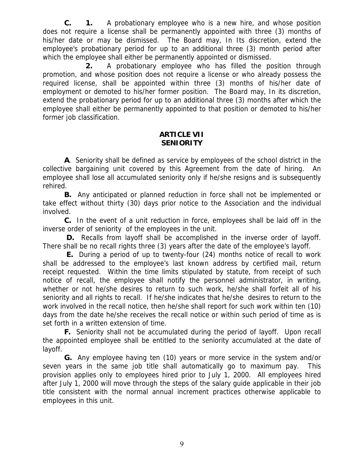**C. 1.** A probationary employee who is a new hire, and whose position does not require a license shall be permanently appointed with three (3) months of his/her date or may be dismissed. The Board may, In Its discretion, extend the employee's probationary period for up to an additional three (3) month period after which the employee shall either be permanently appointed or dismissed.

 **2.** A probationary employee who has filled the position through promotion, and whose position does not require a license or who already possess the required license, shall be appointed within three (3) months of his/her date of employment or demoted to his/her former position. The Board may, In its discretion, extend the probationary period for up to an additional three (3) months after which the employee shall either be permanently appointed to that position or demoted to his/her former job classification.

#### **ARTICLE VII SENIORITY**

 **A**.Seniority shall be defined as service by employees of the school district in the collective bargaining unit covered by this Agreement from the date of hiring. An employee shall lose all accumulated seniority only if he/she resigns and is subsequently rehired.

 **B.** Any anticipated or planned reduction in force shall not be implemented or take effect without thirty (30) days prior notice to the Association and the individual involved.

 **C.** In the event of a unit reduction in force, employees shall be laid off in the inverse order of seniority of the employees in the unit.

 **D.** Recalls from layoff shall be accomplished in the inverse order of layoff. There shall be no recall rights three (3) years after the date of the employee's layoff.

 **E.** During a period of up to twenty-four (24) months notice of recall to work shall be addressed to the employee's last known address by certified mail, return receipt requested. Within the time limits stipulated by statute, from receipt of such notice of recall, the employee shall notify the personnel administrator, in writing, whether or not he/she desires to return to such work, he/she shall forfeit all of his seniority and all rights to recall. If he/she indicates that he/she desires to return to the work involved in the recall notice, then he/she shall report for such work within ten (10) days from the date he/she receives the recall notice or within such period of time as is set forth in a written extension of time.

 **F.** Seniority shall not be accumulated during the period of layoff. Upon recall the appointed employee shall be entitled to the seniority accumulated at the date of layoff.

 **G.** Any employee having ten (10) years or more service in the system and/or seven years in the same job title shall automatically go to maximum pay. This provision applies only to employees hired prior to July 1, 2000. All employees hired after July 1, 2000 will move through the steps of the salary guide applicable in their job title consistent with the normal annual increment practices otherwise applicable to employees in this unit.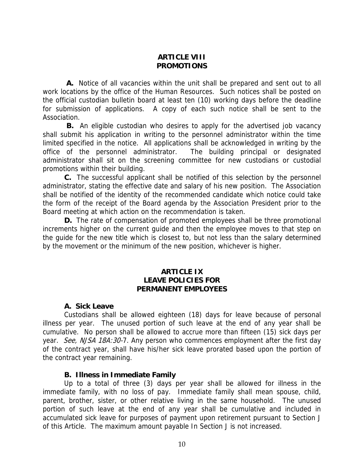#### **ARTICLE VIII PROMOTIONS**

 **A.** Notice of all vacancies within the unit shall be prepared and sent out to all work locations by the office of the Human Resources. Such notices shall be posted on the official custodian bulletin board at least ten (10) working days before the deadline for submission of applications. A copy of each such notice shall be sent to the Association.

 **B.** An eligible custodian who desires to apply for the advertised job vacancy shall submit his application in writing to the personnel administrator within the time limited specified in the notice. All applications shall be acknowledged in writing by the office of the personnel administrator. The building principal or designated administrator shall sit on the screening committee for new custodians or custodial promotions within their building.

 **C.** The successful applicant shall be notified of this selection by the personnel administrator, stating the effective date and salary of his new position. The Association shall be notified of the identity of the recommended candidate which notice could take the form of the receipt of the Board agenda by the Association President prior to the Board meeting at which action on the recommendation is taken.

 **D.** The rate of compensation of promoted employees shall be three promotional increments higher on the current guide and then the employee moves to that step on the guide for the new title which is closest to, but not less than the salary determined by the movement or the minimum of the new position, whichever is higher.

#### **ARTICLE IX LEAVE POLICIES FOR PERMANENT EMPLOYEES**

#### **A. Sick Leave**

 Custodians shall be allowed eighteen (18) days for leave because of personal illness per year. The unused portion of such leave at the end of any year shall be cumulative. No person shall be allowed to accrue more than fifteen (15) sick days per year. See, NJSA 18A:30-7. Any person who commences employment after the first day of the contract year, shall have his/her sick leave prorated based upon the portion of the contract year remaining.

#### **B. Illness in Immediate Family**

 Up to a total of three (3) days per year shall be allowed for illness in the immediate family, with no loss of pay. Immediate family shall mean spouse, child, parent, brother, sister, or other relative living in the same household. The unused portion of such leave at the end of any year shall be cumulative and included in accumulated sick leave for purposes of payment upon retirement pursuant to Section J of this Article. The maximum amount payable In Section J is not increased.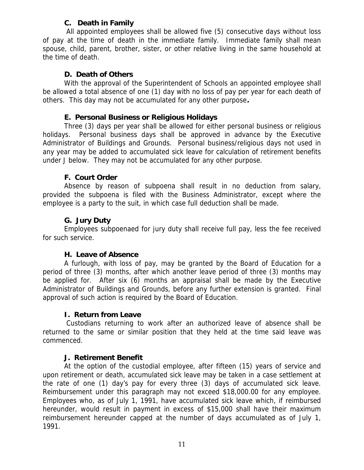# **C. Death in Family**

 All appointed employees shall be allowed five (5) consecutive days without loss of pay at the time of death in the immediate family. Immediate family shall mean spouse, child, parent, brother, sister, or other relative living in the same household at the time of death.

## **D. Death of Others**

 With the approval of the Superintendent of Schools an appointed employee shall be allowed a total absence of one (1) day with no loss of pay per year for each death of others. This day may not be accumulated for any other purpose**.** 

#### **E. Personal Business or Religious Holidays**

 Three (3) days per year shall be allowed for either personal business or religious holidays. Personal business days shall be approved in advance by the Executive Administrator of Buildings and Grounds. Personal business/religious days not used in any year may be added to accumulated sick leave for calculation of retirement benefits under J below. They may not be accumulated for any other purpose.

## **F. Court Order**

 Absence by reason of subpoena shall result in no deduction from salary, provided the subpoena is filed with the Business Administrator, except where the employee is a party to the suit, in which case full deduction shall be made.

## **G. Jury Duty**

 Employees subpoenaed for jury duty shall receive full pay, less the fee received for such service.

#### **H. Leave of Absence**

 A furlough, with loss of pay, may be granted by the Board of Education for a period of three (3) months, after which another leave period of three (3) months may be applied for. After six (6) months an appraisal shall be made by the Executive Administrator of Buildings and Grounds, before any further extension is granted. Final approval of such action is required by the Board of Education.

# **I. Return from Leave**

 Custodians returning to work after an authorized leave of absence shall be returned to the same or similar position that they held at the time said leave was commenced.

#### **J. Retirement Benefit**

 At the option of the custodial employee, after fifteen (15) years of service and upon retirement or death, accumulated sick leave may be taken in a case settlement at the rate of one (1) day's pay for every three (3) days of accumulated sick leave. Reimbursement under this paragraph may not exceed \$18,000.00 for any employee. Employees who, as of July 1, 1991, have accumulated sick leave which, if reimbursed hereunder, would result in payment in excess of \$15,000 shall have their maximum reimbursement hereunder capped at the number of days accumulated as of July 1, 1991.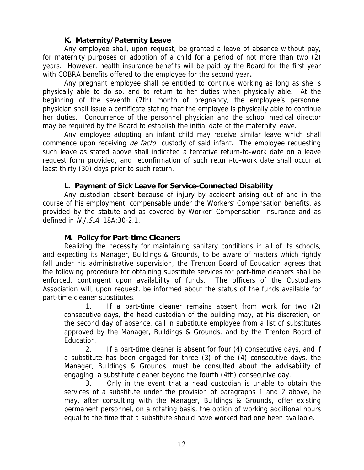## **K. Maternity/Paternity Leave**

 Any employee shall, upon request, be granted a leave of absence without pay, for maternity purposes or adoption of a child for a period of not more than two (2) years. However, health insurance benefits will be paid by the Board for the first year with COBRA benefits offered to the employee for the second year**.**

 Any pregnant employee shall be entitled to continue working as long as she is physically able to do so, and to return to her duties when physically able. At the beginning of the seventh (7th) month of pregnancy, the employee's personnel physician shall issue a certificate stating that the employee is physically able to continue her duties. Concurrence of the personnel physician and the school medical director may be required by the Board to establish the initial date of the maternity leave.

 Any employee adopting an infant child may receive similar leave which shall commence upon receiving *de facto* custody of said infant. The employee requesting such leave as stated above shall indicated a tentative return-to-work date on a leave request form provided, and reconfirmation of such return-to-work date shall occur at least thirty (30) days prior to such return.

## **L. Payment of Sick Leave for Service-Connected Disability**

 Any custodian absent because of injury by accident arising out of and in the course of his employment, compensable under the Workers' Compensation benefits, as provided by the statute and as covered by Worker' Compensation Insurance and as defined in N.J.S.A 18A:30-2.1.

#### **M. Policy for Part-time Cleaners**

 Realizing the necessity for maintaining sanitary conditions in all of its schools, and expecting its Manager, Buildings & Grounds, to be aware of matters which rightly fall under his administrative supervision, the Trenton Board of Education agrees that the following procedure for obtaining substitute services for part-time cleaners shall be enforced, contingent upon availability of funds. The officers of the Custodians Association will, upon request, be informed about the status of the funds available for part-time cleaner substitutes.

 1. If a part-time cleaner remains absent from work for two (2) consecutive days, the head custodian of the building may, at his discretion, on the second day of absence, call in substitute employee from a list of substitutes approved by the Manager, Buildings & Grounds, and by the Trenton Board of Education.

 2. If a part-time cleaner is absent for four (4) consecutive days, and if a substitute has been engaged for three (3) of the (4) consecutive days, the Manager, Buildings & Grounds, must be consulted about the advisability of engaging a substitute cleaner beyond the fourth (4th) consecutive day.

 3. Only in the event that a head custodian is unable to obtain the services of a substitute under the provision of paragraphs 1 and 2 above, he may, after consulting with the Manager, Buildings & Grounds, offer existing permanent personnel, on a rotating basis, the option of working additional hours equal to the time that a substitute should have worked had one been available.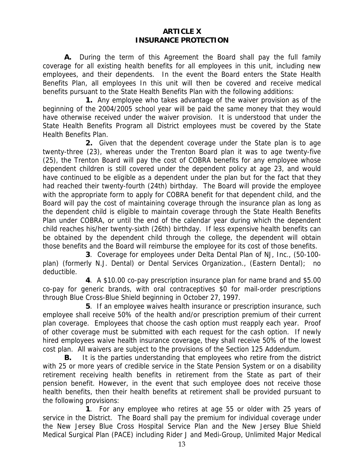#### **ARTICLE X INSURANCE PROTECTION**

 **A.** During the term of this Agreement the Board shall pay the full family coverage for all existing health benefits for all employees in this unit, including new employees, and their dependents. In the event the Board enters the State Health Benefits Plan, all employees In this unit will then be covered and receive medical benefits pursuant to the State Health Benefits Plan with the following additions:

 **1.** Any employee who takes advantage of the waiver provision as of the beginning of the 2004/2005 school year will be paid the same money that they would have otherwise received under the waiver provision. It is understood that under the State Health Benefits Program all District employees must be covered by the State Health Benefits Plan.

 **2.** Given that the dependent coverage under the State plan is to age twenty-three (23), whereas under the Trenton Board plan it was to age twenty-five (25), the Trenton Board will pay the cost of COBRA benefits for any employee whose dependent children is still covered under the dependent policy at age 23, and would have continued to be eligible as a dependent under the plan but for the fact that they had reached their twenty-fourth (24th) birthday. The Board will provide the employee with the appropriate form to apply for COBRA benefit for that dependent child, and the Board will pay the cost of maintaining coverage through the insurance plan as long as the dependent child is eligible to maintain coverage through the State Health Benefits Plan under COBRA, or until the end of the calendar year during which the dependent child reaches his/her twenty-sixth (26th) birthday. If less expensive health benefits can be obtained by the dependent child through the college, the dependent will obtain those benefits and the Board will reimburse the employee for its cost of those benefits.

 **3**. Coverage for employees under Delta Dental Plan of NJ, Inc., (50-100 plan) (formerly N.J. Dental) or Dental Services Organization., (Eastern Dental); no deductible.

 **4**. A \$10.00 co-pay prescription insurance plan for name brand and \$5.00 co-pay for generic brands, with oral contraceptives \$0 for mail-order prescriptions through Blue Cross-Blue Shield beginning in October 27, 1997.

 **5**. If an employee waives health insurance or prescription insurance, such employee shall receive 50% of the health and/or prescription premium of their current plan coverage. Employees that choose the cash option must reapply each year. Proof of other coverage must be submitted with each request for the cash option. If newly hired employees waive health insurance coverage, they shall receive 50% of the lowest cost plan. All waivers are subject to the provisions of the Section 125 Addendum.

 **B.** It is the parties understanding that employees who retire from the district with 25 or more years of credible service in the State Pension System or on a disability retirement receiving health benefits in retirement from the State as part of their pension benefit. However, in the event that such employee does not receive those health benefits, then their health benefits at retirement shall be provided pursuant to the following provisions:

 **1**. For any employee who retires at age 55 or older with 25 years of service in the District. The Board shall pay the premium for individual coverage under the New Jersey Blue Cross Hospital Service Plan and the New Jersey Blue Shield Medical Surgical Plan (PACE) including Rider J and Medi-Group, Unlimited Major Medical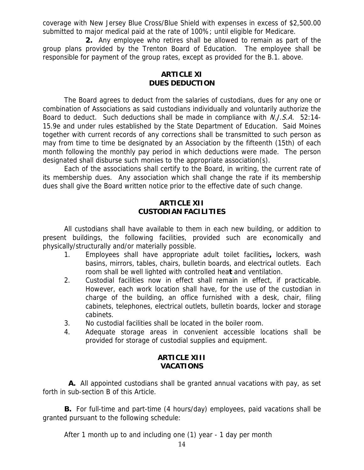coverage with New Jersey Blue Cross/Blue Shield with expenses in excess of \$2,500.00 submitted to major medical paid at the rate of 100%; until eligible for Medicare.

 **2.** Any employee who retires shall be allowed to remain as part of the group plans provided by the Trenton Board of Education. The employee shall be responsible for payment of the group rates, except as provided for the B.1. above.

## **ARTICLE XI DUES DEDUCTION**

 The Board agrees to deduct from the salaries of custodians, dues for any one or combination of Associations as said custodians individually and voluntarily authorize the Board to deduct. Such deductions shall be made in compliance with *N.J.S.A.* 52:14-15.9e and under rules established by the State Department of Education. Said Moines together with current records of any corrections shall be transmitted to such person as may from time to time be designated by an Association by the fifteenth (15th) of each month following the monthly pay period in which deductions were made. The person designated shall disburse such monies to the appropriate association(s).

 Each of the associations shall certify to the Board, in writing, the current rate of its membership dues. Any association which shall change the rate if its membership dues shall give the Board written notice prior to the effective date of such change.

# **ARTICLE XII CUSTODIAN FACILITIES**

 All custodians shall have available to them in each new building, or addition to present buildings, the following facilities, provided such are economically and physically/structurally and/or materially possible.

- 1. Employees shall have appropriate adult toilet facilities**,** lockers, wash basins, mirrors, tables, chairs, bulletin boards, and electrical outlets. Each room shall be well lighted with controlled hea**t** and ventilation.
- 2. Custodial facilities now in effect shall remain in effect, if practicable. However, each work location shall have, for the use of the custodian in charge of the building, an office furnished with a desk, chair, filing cabinets, telephones, electrical outlets, bulletin boards, locker and storage cabinets.
- 3. No custodial facilities shall be located in the boiler room.
- 4. Adequate storage areas in convenient accessible locations shall be provided for storage of custodial supplies and equipment.

# **ARTICLE XIII VACATIONS**

 **A.** All appointed custodians shall be granted annual vacations with pay, as set forth in sub-section B of this Article.

 **B.** For full-time and part-time (4 hours/day) employees, paid vacations shall be granted pursuant to the following schedule:

After 1 month up to and including one (1) year - 1 day per month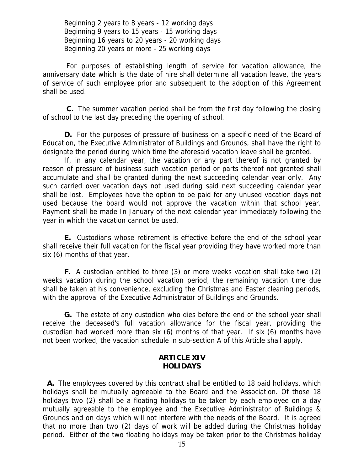Beginning 2 years to 8 years - 12 working days Beginning 9 years to 15 years - 15 working days Beginning 16 years to 20 years - 20 working days Beginning 20 years or more - 25 working days

 For purposes of establishing length of service for vacation allowance, the anniversary date which is the date of hire shall determine all vacation leave, the years of service of such employee prior and subsequent to the adoption of this Agreement shall be used.

 **C.** The summer vacation period shall be from the first day following the closing of school to the last day preceding the opening of school.

 **D.** For the purposes of pressure of business on a specific need of the Board of Education, the Executive Administrator of Buildings and Grounds, shall have the right to designate the period during which time the aforesaid vacation leave shall be granted.

 If, in any calendar year, the vacation or any part thereof is not granted by reason of pressure of business such vacation period or parts thereof not granted shall accumulate and shall be granted during the next succeeding calendar year only. Any such carried over vacation days not used during said next succeeding calendar year shall be lost. Employees have the option to be paid for any unused vacation days not used because the board would not approve the vacation within that school year. Payment shall be made In January of the next calendar year immediately following the year in which the vacation cannot be used.

 **E.** Custodians whose retirement is effective before the end of the school year shall receive their full vacation for the fiscal year providing they have worked more than six (6) months of that year.

 **F.** A custodian entitled to three (3) or more weeks vacation shall take two (2) weeks vacation during the school vacation period, the remaining vacation time due shall be taken at his convenience, excluding the Christmas and Easter cleaning periods, with the approval of the Executive Administrator of Buildings and Grounds.

 **G.** The estate of any custodian who dies before the end of the school year shall receive the deceased's full vacation allowance for the fiscal year, providing the custodian had worked more than six (6) months of that year. If six (6) months have not been worked, the vacation schedule in sub-section A of this Article shall apply.

# **ARTICLE XIV HOLIDAYS**

 **A.** The employees covered by this contract shall be entitled to 18 paid holidays, which holidays shall be mutually agreeable to the Board and the Association. Of those 18 holidays two (2) shall be a floating holidays to be taken by each employee on a day mutually agreeable to the employee and the Executive Administrator of Buildings & Grounds and on days which will not interfere with the needs of the Board. It is agreed that no more than two (2) days of work will be added during the Christmas holiday period. Either of the two floating holidays may be taken prior to the Christmas holiday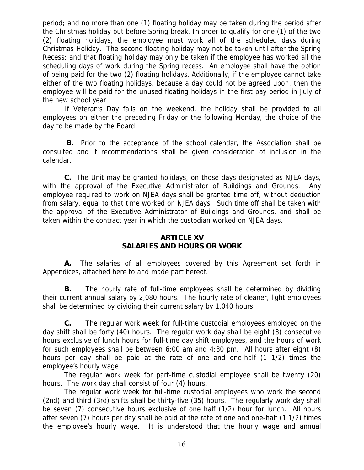period; and no more than one (1) floating holiday may be taken during the period after the Christmas holiday but before Spring break. In order to qualify for one (1) of the two (2) floating holidays, the employee must work all of the scheduled days during Christmas Holiday.The second floating holiday may not be taken until after the Spring Recess; and that floating holiday may only be taken if the employee has worked all the scheduling days of work during the Spring recess.An employee shall have the option of being paid for the two (2) floating holidays. Additionally, if the employee cannot take either of the two floating holidays, because a day could not be agreed upon, then the employee will be paid for the unused floating holidays in the first pay period in July of the new school year.

 If Veteran's Day falls on the weekend, the holiday shall be provided to all employees on either the preceding Friday or the following Monday, the choice of the day to be made by the Board.

 **B.** Prior to the acceptance of the school calendar, the Association shall be consulted and it recommendations shall be given consideration of inclusion in the calendar.

 **C.** The Unit may be granted holidays, on those days designated as NJEA days, with the approval of the Executive Administrator of Buildings and Grounds. Any employee required to work on NJEA days shall be granted time off, without deduction from salary, equal to that time worked on NJEA days. Such time off shall be taken with the approval of the Executive Administrator of Buildings and Grounds, and shall be taken within the contract year in which the custodian worked on NJEA days.

# **ARTICLE XV SALARIES AND HOURS OR WORK**

 **A.** The salaries of all employees covered by this Agreement set forth in Appendices, attached here to and made part hereof.

 **B.** The hourly rate of full-time employees shall be determined by dividing their current annual salary by 2,080 hours. The hourly rate of cleaner, light employees shall be determined by dividing their current salary by 1,040 hours.

 **C.** The regular work week for full-time custodial employees employed on the day shift shall be forty (40) hours. The regular work day shall be eight (8) consecutive hours exclusive of lunch hours for full-time day shift employees, and the hours of work for such employees shall be between 6:00 am and 4:30 pm. All hours after eight (8) hours per day shall be paid at the rate of one and one-half (1 1/2) times the employee's hourly wage.

 The regular work week for part-time custodial employee shall be twenty (20) hours. The work day shall consist of four (4) hours.

 The regular work week for full-time custodial employees who work the second (2nd) and third (3rd) shifts shall be thirty-five (35) hours. The regularly work day shall be seven (7) consecutive hours exclusive of one half (1/2) hour for lunch. All hours after seven (7) hours per day shall be paid at the rate of one and one-half (1 1/2) times the employee's hourly wage. It is understood that the hourly wage and annual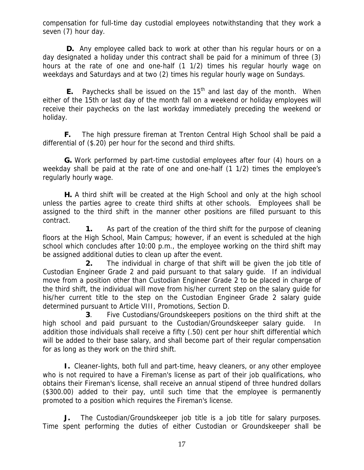compensation for full-time day custodial employees notwithstanding that they work a seven (7) hour day.

 **D.** Any employee called back to work at other than his regular hours or on a day designated a holiday under this contract shall be paid for a minimum of three (3) hours at the rate of one and one-half (1 1/2) times his regular hourly wage on weekdays and Saturdays and at two (2) times his regular hourly wage on Sundays.

**E.** Paychecks shall be issued on the  $15<sup>th</sup>$  and last day of the month. When either of the 15th or last day of the month fall on a weekend or holiday employees will receive their paychecks on the last workday immediately preceding the weekend or holiday.

 **F.** The high pressure fireman at Trenton Central High School shall be paid a differential of (\$.20) per hour for the second and third shifts.

 **G.** Work performed by part-time custodial employees after four (4) hours on a weekday shall be paid at the rate of one and one-half (1 1/2) times the employee's regularly hourly wage.

 **H.** A third shift will be created at the High School and only at the high school unless the parties agree to create third shifts at other schools. Employees shall be assigned to the third shift in the manner other positions are filled pursuant to this contract.

 **1.** As part of the creation of the third shift for the purpose of cleaning floors at the High School, Main Campus; however, if an event is scheduled at the high school which concludes after 10:00 p.m., the employee working on the third shift may be assigned additional duties to clean up after the event.

**2.** The individual in charge of that shift will be given the job title of Custodian Engineer Grade 2 and paid pursuant to that salary guide. If an individual move from a position other than Custodian Engineer Grade 2 to be placed in charge of the third shift, the individual will move from his/her current step on the salary guide for his/her current title to the step on the Custodian Engineer Grade 2 salary guide determined pursuant to Article VIII, Promotions, Section D.

 **3**. Five Custodians/Groundskeepers positions on the third shift at the high school and paid pursuant to the Custodian/Groundskeeper salary guide. In addition those individuals shall receive a fifty (.50) cent per hour shift differential which will be added to their base salary, and shall become part of their regular compensation for as long as they work on the third shift.

 **I.** Cleaner-lights, both full and part-time, heavy cleaners, or any other employee who is not required to have a Fireman's license as part of their job qualifications, who obtains their Fireman's license, shall receive an annual stipend of three hundred dollars (\$300.00) added to their pay, until such time that the employee is permanently promoted to a position which requires the Fireman's license.

**J.** The Custodian/Groundskeeper job title is a job title for salary purposes. Time spent performing the duties of either Custodian or Groundskeeper shall be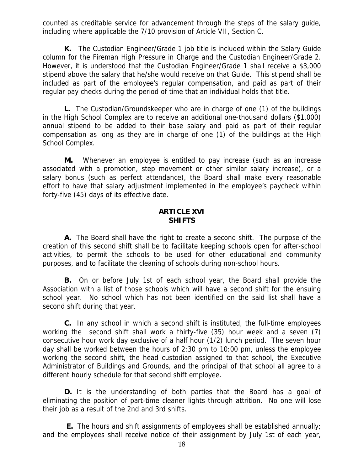counted as creditable service for advancement through the steps of the salary guide, including where applicable the 7/10 provision of Article VII, Section C.

 **K.** The Custodian Engineer/Grade 1 job title is included within the Salary Guide column for the Fireman High Pressure in Charge and the Custodian Engineer/Grade 2. However, it is understood that the Custodian Engineer/Grade 1 shall receive a \$3,000 stipend above the salary that he/she would receive on that Guide. This stipend shall be included as part of the employee's regular compensation, and paid as part of their regular pay checks during the period of time that an individual holds that title.

 **L.** The Custodian/Groundskeeper who are in charge of one (1) of the buildings in the High School Complex are to receive an additional one-thousand dollars (\$1,000) annual stipend to be added to their base salary and paid as part of their regular compensation as long as they are in charge of one (1) of the buildings at the High School Complex.

 **M.** Whenever an employee is entitled to pay increase (such as an increase associated with a promotion, step movement or other similar salary increase), or a salary bonus (such as perfect attendance), the Board shall make every reasonable effort to have that salary adjustment implemented in the employee's paycheck within forty-five (45) days of its effective date.

#### **ARTICLE XVI SHIFTS**

 **A.** The Board shall have the right to create a second shift. The purpose of the creation of this second shift shall be to facilitate keeping schools open for after-school activities, to permit the schools to be used for other educational and community purposes, and to facilitate the cleaning of schools during non-school hours.

 **B.** On or before July 1st of each school year, the Board shall provide the Association with a list of those schools which will have a second shift for the ensuing school year. No school which has not been identified on the said list shall have a second shift during that year.

 **C.** In any school in which a second shift is instituted, the full-time employees working the second shift shall work a thirty-five (35) hour week and a seven (7) consecutive hour work day exclusive of a half hour (1/2) lunch period. The seven hour day shall be worked between the hours of 2:30 pm to 10:00 pm, unless the employee working the second shift, the head custodian assigned to that school, the Executive Administrator of Buildings and Grounds, and the principal of that school all agree to a different hourly schedule for that second shift employee.

 **D.** It is the understanding of both parties that the Board has a goal of eliminating the position of part-time cleaner lights through attrition. No one will lose their job as a result of the 2nd and 3rd shifts.

**E.** The hours and shift assignments of employees shall be established annually; and the employees shall receive notice of their assignment by July 1st of each year,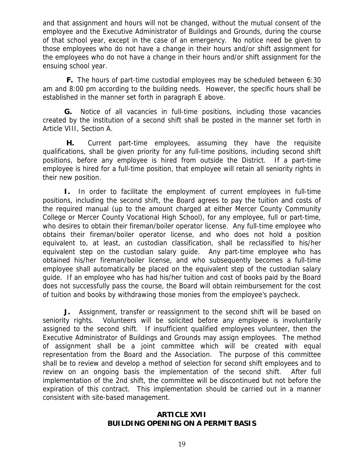and that assignment and hours will not be changed, without the mutual consent of the employee and the Executive Administrator of Buildings and Grounds, during the course of that school year, except in the case of an emergency. No notice need be given to those employees who do not have a change in their hours and/or shift assignment for the employees who do not have a change in their hours and/or shift assignment for the ensuing school year.

 **F.** The hours of part-time custodial employees may be scheduled between 6:30 am and 8:00 pm according to the building needs. However, the specific hours shall be established in the manner set forth in paragraph E above.

 **G.** Notice of all vacancies in full-time positions, including those vacancies created by the institution of a second shift shall be posted in the manner set forth in Article VIII, Section A.

 **H.** Current part-time employees, assuming they have the requisite qualifications, shall be given priority for any full-time positions, including second shift positions, before any employee is hired from outside the District. If a part-time employee is hired for a full-time position, that employee will retain all seniority rights in their new position.

 **I.** In order to facilitate the employment of current employees in full-time positions, including the second shift, the Board agrees to pay the tuition and costs of the required manual (up to the amount charged at either Mercer County Community College or Mercer County Vocational High School), for any employee, full or part-time, who desires to obtain their fireman/boiler operator license. Any full-time employee who obtains their fireman/boiler operator license, and who does not hold a position equivalent to, at least, an custodian classification, shall be reclassified to his/her equivalent step on the custodian salary guide. Any part-time employee who has obtained his/her fireman/boiler license, and who subsequently becomes a full-time employee shall automatically be placed on the equivalent step of the custodian salary guide. If an employee who has had his/her tuition and cost of books paid by the Board does not successfully pass the course, the Board will obtain reimbursement for the cost of tuition and books by withdrawing those monies from the employee's paycheck.

 **J.** Assignment, transfer or reassignment to the second shift will be based on seniority rights. Volunteers will be solicited before any employee is involuntarily assigned to the second shift. If insufficient qualified employees volunteer, then the Executive Administrator of Buildings and Grounds may assign employees. The method of assignment shall be a joint committee which will be created with equal representation from the Board and the Association. The purpose of this committee shall be to review and develop a method of selection for second shift employees and to review on an ongoing basis the implementation of the second shift. After full implementation of the 2nd shift, the committee will be discontinued but not before the expiration of this contract. This implementation should be carried out in a manner consistent with site-based management.

## **ARTICLE XVII BUILDING OPENING ON A PERMIT BASIS**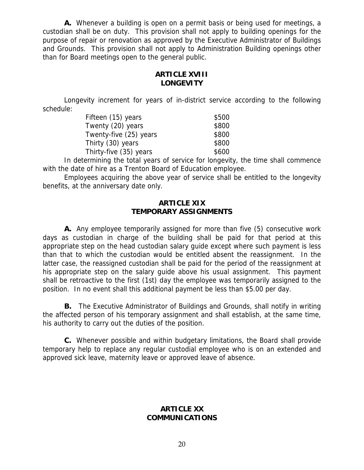**A.** Whenever a building is open on a permit basis or being used for meetings, a custodian shall be on duty. This provision shall not apply to building openings for the purpose of repair or renovation as approved by the Executive Administrator of Buildings and Grounds. This provision shall not apply to Administration Building openings other than for Board meetings open to the general public.

# **ARTICLE XVIII LONGEVITY**

Longevity increment for years of in-district service according to the following schedule:

| Fifteen (15) years     | \$500 |
|------------------------|-------|
| Twenty (20) years      | \$800 |
| Twenty-five (25) years | \$800 |
| Thirty (30) years      | \$800 |
| Thirty-five (35) years | \$600 |

 In determining the total years of service for longevity, the time shall commence with the date of hire as a Trenton Board of Education employee.

 Employees acquiring the above year of service shall be entitled to the longevity benefits, at the anniversary date only.

#### **ARTICLE XIX TEMPORARY ASSIGNMENTS**

 **A.** Any employee temporarily assigned for more than five (5) consecutive work days as custodian in charge of the building shall be paid for that period at this appropriate step on the head custodian salary guide except where such payment is less than that to which the custodian would be entitled absent the reassignment. In the latter case, the reassigned custodian shall be paid for the period of the reassignment at his appropriate step on the salary guide above his usual assignment. This payment shall be retroactive to the first (1st) day the employee was temporarily assigned to the position. In no event shall this additional payment be less than \$5.00 per day.

 **B.** The Executive Administrator of Buildings and Grounds, shall notify in writing the affected person of his temporary assignment and shall establish, at the same time, his authority to carry out the duties of the position.

 **C.** Whenever possible and within budgetary limitations, the Board shall provide temporary help to replace any regular custodial employee who is on an extended and approved sick leave, maternity leave or approved leave of absence.

# **ARTICLE XX COMMUNICATIONS**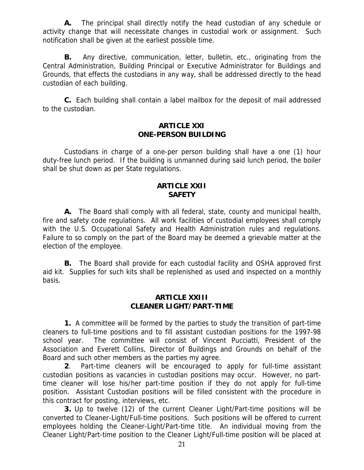**A.** The principal shall directly notify the head custodian of any schedule or activity change that will necessitate changes in custodial work or assignment. Such notification shall be given at the earliest possible time.

 **B.** Any directive, communication, letter, bulletin, etc., originating from the Central Administration, Building Principal or Executive Administrator for Buildings and Grounds, that effects the custodians in any way, shall be addressed directly to the head custodian of each building.

 **C.** Each building shall contain a label mailbox for the deposit of mail addressed to the custodian.

#### **ARTICLE XXI ONE-PERSON BUILDING**

 Custodians in charge of a one-per person building shall have a one (1) hour duty-free lunch period. If the building is unmanned during said lunch period, the boiler shall be shut down as per State regulations.

#### **ARTICLE XXII SAFETY**

 **A.** The Board shall comply with all federal, state, county and municipal health, fire and safety code regulations. All work facilities of custodial employees shall comply with the U.S. Occupational Safety and Health Administration rules and regulations. Failure to so comply on the part of the Board may be deemed a grievable matter at the election of the employee.

 **B.** The Board shall provide for each custodial facility and OSHA approved first aid kit. Supplies for such kits shall be replenished as used and inspected on a monthly basis.

#### **ARTICLE XXIII CLEANER LIGHT/PART-TIME**

 **1.** A committee will be formed by the parties to study the transition of part-time cleaners to full-time positions and to fill assistant custodian positions for the 1997-98 school year. The committee will consist of Vincent Pucciatti, President of the Association and Everett Collins, Director of Buildings and Grounds on behalf of the Board and such other members as the parties my agree.

 **2**. Part-time cleaners will be encouraged to apply for full-time assistant custodian positions as vacancies in custodian positions may occur. However, no parttime cleaner will lose his/her part-time position if they do not apply for full-time position. Assistant Custodian positions will be filled consistent with the procedure in this contract for posting, interviews, etc.

 **3.** Up to twelve (12) of the current Cleaner Light/Part-time positions will be converted to Cleaner-Light/Full-time positions. Such positions will be offered to current employees holding the Cleaner-Light/Part-time title. An individual moving from the Cleaner Light/Part-time position to the Cleaner Light/Full-time position will be placed at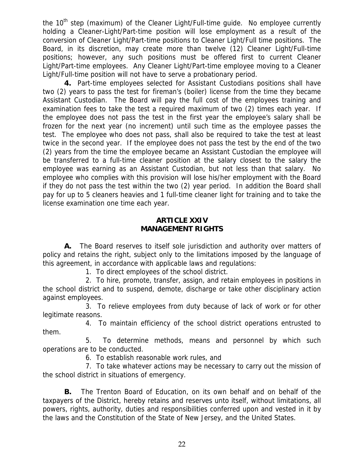the  $10<sup>th</sup>$  step (maximum) of the Cleaner Light/Full-time guide. No employee currently holding a Cleaner-Light/Part-time position will lose employment as a result of the conversion of Cleaner Light/Part-time positions to Cleaner Light/Full time positions. The Board, in its discretion, may create more than twelve (12) Cleaner Light/Full-time positions; however, any such positions must be offered first to current Cleaner Light/Part-time employees. Any Cleaner Light/Part-time employee moving to a Cleaner Light/Full-time position will not have to serve a probationary period.

 **4.** Part-time employees selected for Assistant Custodians positions shall have two (2) years to pass the test for fireman's (boiler) license from the time they became Assistant Custodian. The Board will pay the full cost of the employees training and examination fees to take the test a required maximum of two (2) times each year. If the employee does not pass the test in the first year the employee's salary shall be frozen for the next year (no increment) until such time as the employee passes the test. The employee who does not pass, shall also be required to take the test at least twice in the second year. If the employee does not pass the test by the end of the two (2) years from the time the employee became an Assistant Custodian the employee will be transferred to a full-time cleaner position at the salary closest to the salary the employee was earning as an Assistant Custodian, but not less than that salary. No employee who complies with this provision will lose his/her employment with the Board if they do not pass the test within the two (2) year period. In addition the Board shall pay for up to 5 cleaners heavies and 1 full-time cleaner light for training and to take the license examination one time each year.

#### **ARTICLE XXIV MANAGEMENT RIGHTS**

 **A.** The Board reserves to itself sole jurisdiction and authority over matters of policy and retains the right, subject only to the limitations imposed by the language of this agreement, in accordance with applicable laws and regulations:

1. To direct employees of the school district.

 2. To hire, promote, transfer, assign, and retain employees in positions in the school district and to suspend, demote, discharge or take other disciplinary action against employees.

 3. To relieve employees from duty because of lack of work or for other legitimate reasons.

 4. To maintain efficiency of the school district operations entrusted to them.

 5. To determine methods, means and personnel by which such operations are to be conducted.

6. To establish reasonable work rules, and

 7. To take whatever actions may be necessary to carry out the mission of the school district in situations of emergency.

 **B.** The Trenton Board of Education, on its own behalf and on behalf of the taxpayers of the District, hereby retains and reserves unto itself, without limitations, all powers, rights, authority, duties and responsibilities conferred upon and vested in it by the laws and the Constitution of the State of New Jersey, and the United States.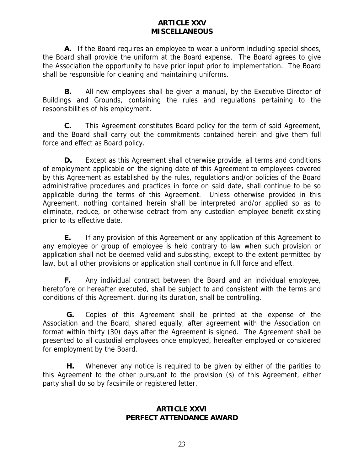# **ARTICLE XXV MISCELLANEOUS**

 **A.** If the Board requires an employee to wear a uniform including special shoes, the Board shall provide the uniform at the Board expense. The Board agrees to give the Association the opportunity to have prior input prior to implementation. The Board shall be responsible for cleaning and maintaining uniforms.

 **B.** All new employees shall be given a manual, by the Executive Director of Buildings and Grounds, containing the rules and regulations pertaining to the responsibilities of his employment.

 **C.** This Agreement constitutes Board policy for the term of said Agreement, and the Board shall carry out the commitments contained herein and give them full force and effect as Board policy.

 **D.** Except as this Agreement shall otherwise provide, all terms and conditions of employment applicable on the signing date of this Agreement to employees covered by this Agreement as established by the rules, regulations and/or policies of the Board administrative procedures and practices in force on said date, shall continue to be so applicable during the terms of this Agreement. Unless otherwise provided in this Agreement, nothing contained herein shall be interpreted and/or applied so as to eliminate, reduce, or otherwise detract from any custodian employee benefit existing prior to its effective date.

 **E.** If any provision of this Agreement or any application of this Agreement to any employee or group of employee is held contrary to law when such provision or application shall not be deemed valid and subsisting, except to the extent permitted by law, but all other provisions or application shall continue in full force and effect.

**F.** Any individual contract between the Board and an individual employee, heretofore or hereafter executed, shall be subject to and consistent with the terms and conditions of this Agreement, during its duration, shall be controlling.

 **G.** Copies of this Agreement shall be printed at the expense of the Association and the Board, shared equally, after agreement with the Association on format within thirty (30) days after the Agreement is signed. The Agreement shall be presented to all custodial employees once employed, hereafter employed or considered for employment by the Board.

 **H.** Whenever any notice is required to be given by either of the parities to this Agreement to the other pursuant to the provision (s) of this Agreement, either party shall do so by facsimile or registered letter.

# **ARTICLE XXVI PERFECT ATTENDANCE AWARD**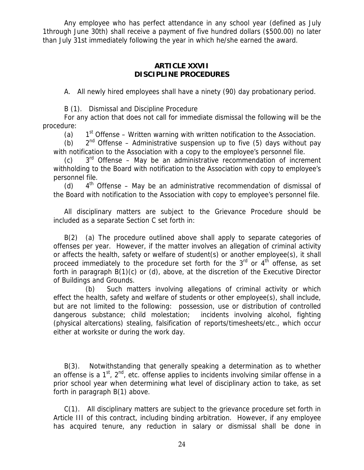Any employee who has perfect attendance in any school year (defined as July 1through June 30th) shall receive a payment of five hundred dollars (\$500.00) no later than July 31st immediately following the year in which he/she earned the award.

#### **ARTICLE XXVII DISCIPLINE PROCEDURES**

A. All newly hired employees shall have a ninety (90) day probationary period.

B (1). Dismissal and Discipline Procedure

 For any action that does not call for immediate dismissal the following will be the procedure:

(a)  $1<sup>st</sup>$  Offense – Written warning with written notification to the Association.

(b)  $2<sup>nd</sup>$  Offense – Administrative suspension up to five (5) days without pay with notification to the Association with a copy to the employee's personnel file.

(c)  $3<sup>rd</sup>$  Offense – May be an administrative recommendation of increment withholding to the Board with notification to the Association with copy to employee's personnel file.

(d)  $4<sup>th</sup>$  Offense – May be an administrative recommendation of dismissal of the Board with notification to the Association with copy to employee's personnel file.

 All disciplinary matters are subject to the Grievance Procedure should be included as a separate Section C set forth in:

B(2) (a) The procedure outlined above shall apply to separate categories of offenses per year. However, if the matter involves an allegation of criminal activity or affects the health, safety or welfare of student(s) or another employee(s), it shall proceed immediately to the procedure set forth for the  $3<sup>rd</sup>$  or  $4<sup>th</sup>$  offense, as set forth in paragraph B(1)(c) or (d), above, at the discretion of the Executive Director of Buildings and Grounds.

(b) Such matters involving allegations of criminal activity or which effect the health, safety and welfare of students or other employee(s), shall include, but are not limited to the following: possession, use or distribution of controlled dangerous substance; child molestation; incidents involving alcohol, fighting (physical altercations) stealing, falsification of reports/timesheets/etc., which occur either at worksite or during the work day.

B(3). Notwithstanding that generally speaking a determination as to whether an offense is a  $1^{st}$ ,  $2^{nd}$ , etc. offense applies to incidents involving similar offense in a prior school year when determining what level of disciplinary action to take, as set forth in paragraph B(1) above.

C(1). All disciplinary matters are subject to the grievance procedure set forth in Article III of this contract, including binding arbitration. However, if any employee has acquired tenure, any reduction in salary or dismissal shall be done in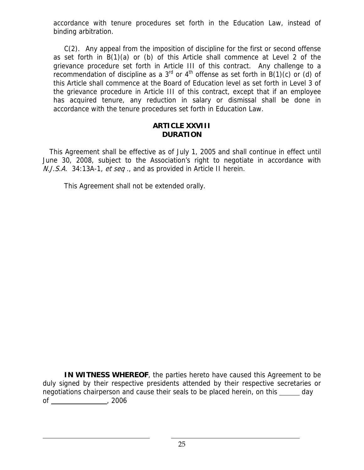accordance with tenure procedures set forth in the Education Law, instead of binding arbitration.

 C(2). Any appeal from the imposition of discipline for the first or second offense as set forth in B(1)(a) or (b) of this Article shall commence at Level 2 of the grievance procedure set forth in Article III of this contract. Any challenge to a recommendation of discipline as a  $3<sup>rd</sup>$  or  $4<sup>th</sup>$  offense as set forth in B(1)(c) or (d) of this Article shall commence at the Board of Education level as set forth in Level 3 of the grievance procedure in Article III of this contract, except that if an employee has acquired tenure, any reduction in salary or dismissal shall be done in accordance with the tenure procedures set forth in Education Law.

#### **ARTICLE XXVIII DURATION**

 This Agreement shall be effective as of July 1, 2005 and shall continue in effect until June 30, 2008, subject to the Association's right to negotiate in accordance with N.J.S.A. 34:13A-1, et seq., and as provided in Article II herein.

This Agreement shall not be extended orally.

**IN WITNESS WHEREOF**, the parties hereto have caused this Agreement to be duly signed by their respective presidents attended by their respective secretaries or negotiations chairperson and cause their seals to be placed herein, on this day of , 2006

l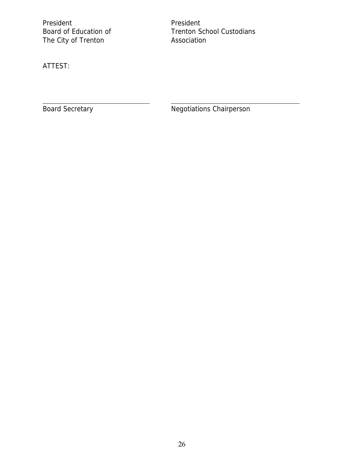President<br>
Board of Education of Trenton So The City of Trenton

Trenton School Custodians<br>Association

ATTEST:

l

Board Secretary **Negotiations Chairperson**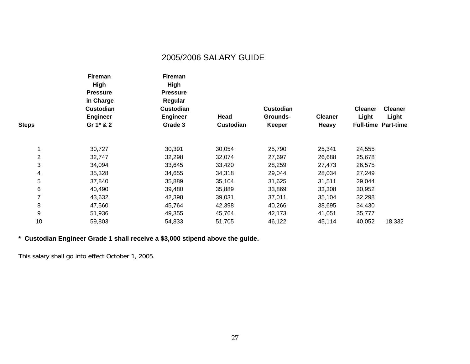# 2005/2006 SALARY GUIDE

|              | <b>Fireman</b><br>High<br><b>Pressure</b> | <b>Fireman</b><br>High<br><b>Pressure</b> |           | <b>Custodian</b><br>Grounds- | <b>Cleaner</b> | <b>Cleaner</b><br>Light | <b>Cleaner</b><br>Light    |
|--------------|-------------------------------------------|-------------------------------------------|-----------|------------------------------|----------------|-------------------------|----------------------------|
|              | in Charge                                 | Regular                                   | Head      |                              |                |                         |                            |
|              | <b>Custodian</b>                          | <b>Custodian</b>                          |           |                              |                |                         |                            |
|              | <b>Engineer</b>                           | <b>Engineer</b>                           |           |                              |                |                         |                            |
| <b>Steps</b> | Gr 1* & 2                                 | Grade 3                                   | Custodian | Keeper                       | Heavy          |                         | <b>Full-time Part-time</b> |
|              | 30,727                                    | 30,391                                    | 30,054    | 25,790                       | 25,341         | 24,555                  |                            |
| $\mathbf 2$  | 32,747                                    | 32,298                                    | 32,074    | 27,697                       | 26,688         | 25,678                  |                            |
| 3            | 34,094                                    | 33,645                                    | 33,420    | 28,259                       | 27,473         | 26,575                  |                            |
| 4            | 35,328                                    | 34,655                                    | 34,318    | 29,044                       | 28,034         | 27,249                  |                            |
| 5            | 37,840                                    | 35,889                                    | 35,104    | 31,625                       | 31,511         | 29,044                  |                            |
| 6            | 40,490                                    | 39,480                                    | 35,889    | 33,869                       | 33,308         | 30,952                  |                            |
| 7            | 43,632                                    | 42,398                                    | 39,031    | 37,011                       | 35,104         | 32,298                  |                            |
| 8            | 47,560                                    | 45,764                                    | 42,398    | 40,266                       | 38,695         | 34,430                  |                            |
| 9            | 51,936                                    | 49,355                                    | 45,764    | 42,173                       | 41,051         | 35,777                  |                            |
| 10           | 59,803                                    | 54,833                                    | 51,705    | 46,122                       | 45,114         | 40,052                  | 18,332                     |

**\* Custodian Engineer Grade 1 shall receive a \$3,000 stipend above the guide.** 

This salary shall go into effect October 1, 2005.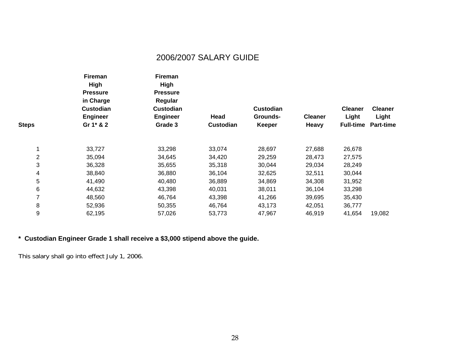# 2006/2007 SALARY GUIDE

|              | Fireman<br><b>High</b><br><b>Pressure</b> | Fireman<br>High                                                   |           |                              |                |                         |                         |
|--------------|-------------------------------------------|-------------------------------------------------------------------|-----------|------------------------------|----------------|-------------------------|-------------------------|
|              |                                           | <b>Pressure</b><br>Regular<br><b>Custodian</b><br><b>Engineer</b> |           |                              |                |                         |                         |
|              | in Charge                                 |                                                                   | Head      | <b>Custodian</b><br>Grounds- | <b>Cleaner</b> | <b>Cleaner</b><br>Light | <b>Cleaner</b><br>Light |
|              | <b>Custodian</b>                          |                                                                   |           |                              |                |                         |                         |
|              | <b>Engineer</b>                           |                                                                   |           |                              |                |                         |                         |
| <b>Steps</b> | Gr 1* & 2                                 | Grade 3                                                           | Custodian | <b>Keeper</b>                | <b>Heavy</b>   | <b>Full-time</b>        | <b>Part-time</b>        |
|              |                                           |                                                                   |           |                              |                |                         |                         |
|              | 33,727                                    | 33,298                                                            | 33,074    | 28,697                       | 27,688         | 26,678                  |                         |
| 2            | 35,094                                    | 34,645                                                            | 34,420    | 29,259                       | 28,473         | 27,575                  |                         |
| 3            | 36,328                                    | 35,655                                                            | 35,318    | 30,044                       | 29,034         | 28,249                  |                         |
| 4            | 38,840                                    | 36,880                                                            | 36,104    | 32,625                       | 32,511         | 30,044                  |                         |
| 5            | 41,490                                    | 40,480                                                            | 36,889    | 34,869                       | 34,308         | 31,952                  |                         |
| 6            | 44,632                                    | 43,398                                                            | 40,031    | 38,011                       | 36,104         | 33,298                  |                         |
| 7            | 48,560                                    | 46,764                                                            | 43,398    | 41,266                       | 39,695         | 35,430                  |                         |
| 8            | 52,936                                    | 50,355                                                            | 46,764    | 43,173                       | 42,051         | 36,777                  |                         |
| 9            | 62,195                                    | 57,026                                                            | 53,773    | 47,967                       | 46,919         | 41,654                  | 19,082                  |

**\* Custodian Engineer Grade 1 shall receive a \$3,000 stipend above the guide.** 

This salary shall go into effect July 1, 2006.